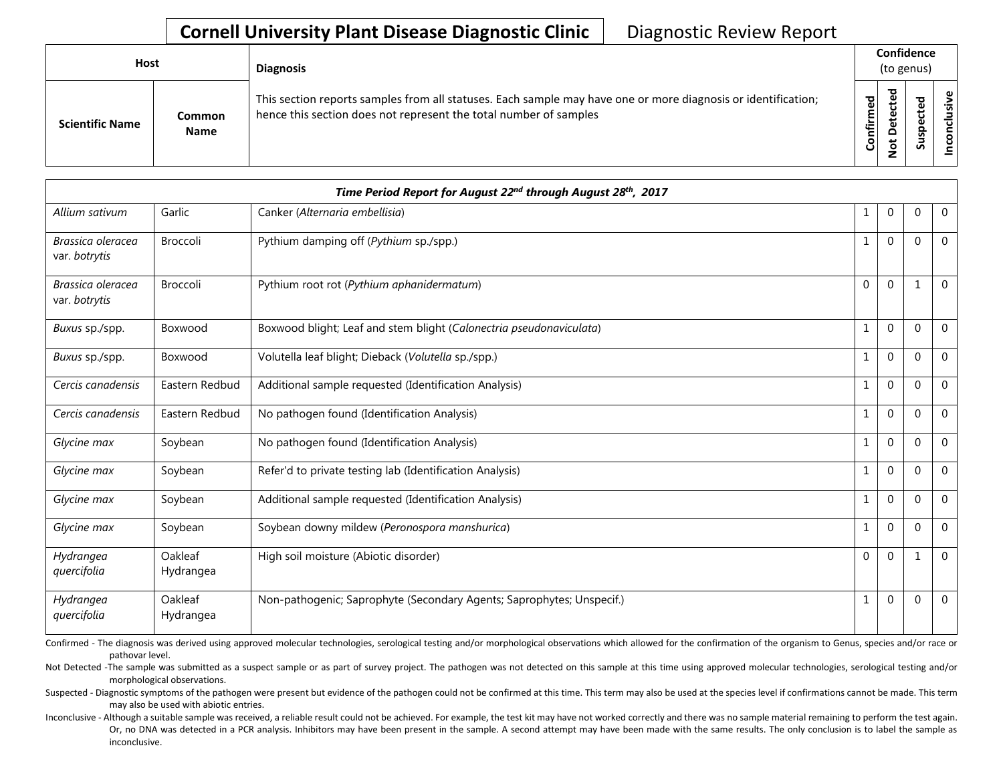## **Cornell University Plant Disease Diagnostic Clinic** | Diagnostic Review Report

| Host                   |                       | <b>Diagnosis</b>                                                                                                                                                                   |                    | Confidence<br>(to genus) |                                 |             |  |  |
|------------------------|-----------------------|------------------------------------------------------------------------------------------------------------------------------------------------------------------------------------|--------------------|--------------------------|---------------------------------|-------------|--|--|
| <b>Scientific Name</b> | Common<br><b>Name</b> | This section reports samples from all statuses. Each sample may have one or more diagnosis or identification;<br>hence this section does not represent the total number of samples | ිත<br>ම<br>Confirm | ᇃ<br>$\Omega$<br>پ<br>Ö  | ъ<br>ீ<br>ω<br>௨<br>s<br>∍<br>Ū | <b>sive</b> |  |  |

|                                    |                      | Time Period Report for August 22 <sup>nd</sup> through August 28 <sup>th</sup> , 2017 | $\mathbf 0$<br>$\Omega$<br>0<br>1<br>$\overline{0}$<br>$\Omega$<br>1<br>$\overline{0}$<br>$\Omega$<br>$\mathbf{0}$<br>$\Omega$<br>$\overline{0}$<br>$\Omega$<br>$\mathbf 0$<br>$\mathbf{1}$<br>$\Omega$<br>$\Omega$<br>$\overline{0}$<br>1<br>$\mathbf{0}$<br>1<br>$\Omega$<br>$\overline{0}$<br>$\mathbf{0}$<br>$\Omega$<br>$\Omega$<br>$\mathbf{1}$<br>$\mathbf{0}$<br>$\Omega$<br>$\mathbf 0$<br>$\mathbf{1}$<br>$\overline{0}$<br>$\Omega$<br>$\overline{0}$<br>$\mathbf{0}$<br>$\Omega$<br>$\overline{0}$<br>1<br>$\mathbf{0}$<br>$\Omega$<br>$\mathbf 0$<br>1<br>$\mathbf 0$<br>$\overline{0}$<br>$\mathbf 0$<br>$\mathbf{0}$<br>$\mathbf 0$<br>1<br>$\Omega$ |  |  |
|------------------------------------|----------------------|---------------------------------------------------------------------------------------|---------------------------------------------------------------------------------------------------------------------------------------------------------------------------------------------------------------------------------------------------------------------------------------------------------------------------------------------------------------------------------------------------------------------------------------------------------------------------------------------------------------------------------------------------------------------------------------------------------------------------------------------------------------------|--|--|
| Allium sativum                     | Garlic               | Canker (Alternaria embellisia)                                                        |                                                                                                                                                                                                                                                                                                                                                                                                                                                                                                                                                                                                                                                                     |  |  |
| Brassica oleracea<br>var. botrytis | <b>Broccoli</b>      | Pythium damping off (Pythium sp./spp.)                                                |                                                                                                                                                                                                                                                                                                                                                                                                                                                                                                                                                                                                                                                                     |  |  |
| Brassica oleracea<br>var. botrytis | Broccoli             | Pythium root rot (Pythium aphanidermatum)                                             |                                                                                                                                                                                                                                                                                                                                                                                                                                                                                                                                                                                                                                                                     |  |  |
| Buxus sp./spp.                     | Boxwood              | Boxwood blight; Leaf and stem blight (Calonectria pseudonaviculata)                   |                                                                                                                                                                                                                                                                                                                                                                                                                                                                                                                                                                                                                                                                     |  |  |
| Buxus sp./spp.                     | Boxwood              | Volutella leaf blight; Dieback (Volutella sp./spp.)                                   |                                                                                                                                                                                                                                                                                                                                                                                                                                                                                                                                                                                                                                                                     |  |  |
| Cercis canadensis                  | Eastern Redbud       | Additional sample requested (Identification Analysis)                                 |                                                                                                                                                                                                                                                                                                                                                                                                                                                                                                                                                                                                                                                                     |  |  |
| Cercis canadensis                  | Eastern Redbud       | No pathogen found (Identification Analysis)                                           |                                                                                                                                                                                                                                                                                                                                                                                                                                                                                                                                                                                                                                                                     |  |  |
| Glycine max                        | Soybean              | No pathogen found (Identification Analysis)                                           |                                                                                                                                                                                                                                                                                                                                                                                                                                                                                                                                                                                                                                                                     |  |  |
| Glycine max                        | Soybean              | Refer'd to private testing lab (Identification Analysis)                              |                                                                                                                                                                                                                                                                                                                                                                                                                                                                                                                                                                                                                                                                     |  |  |
| Glycine max                        | Soybean              | Additional sample requested (Identification Analysis)                                 |                                                                                                                                                                                                                                                                                                                                                                                                                                                                                                                                                                                                                                                                     |  |  |
| Glycine max                        | Soybean              | Soybean downy mildew (Peronospora manshurica)                                         |                                                                                                                                                                                                                                                                                                                                                                                                                                                                                                                                                                                                                                                                     |  |  |
| Hydrangea<br>quercifolia           | Oakleaf<br>Hydrangea | High soil moisture (Abiotic disorder)                                                 |                                                                                                                                                                                                                                                                                                                                                                                                                                                                                                                                                                                                                                                                     |  |  |
| Hydrangea<br>quercifolia           | Oakleaf<br>Hydrangea | Non-pathogenic; Saprophyte (Secondary Agents; Saprophytes; Unspecif.)                 |                                                                                                                                                                                                                                                                                                                                                                                                                                                                                                                                                                                                                                                                     |  |  |

Confirmed - The diagnosis was derived using approved molecular technologies, serological testing and/or morphological observations which allowed for the confirmation of the organism to Genus, species and/or race or pathovar level.

Not Detected -The sample was submitted as a suspect sample or as part of survey project. The pathogen was not detected on this sample at this time using approved molecular technologies, serological testing and/or morphological observations.

Suspected - Diagnostic symptoms of the pathogen were present but evidence of the pathogen could not be confirmed at this time. This term may also be used at the species level if confirmations cannot be made. This term may also be used with abiotic entries.

Inconclusive - Although a suitable sample was received, a reliable result could not be achieved. For example, the test kit may have not worked correctly and there was no sample material remaining to perform the test again. Or, no DNA was detected in a PCR analysis. Inhibitors may have been present in the sample. A second attempt may have been made with the same results. The only conclusion is to label the sample as inconclusive.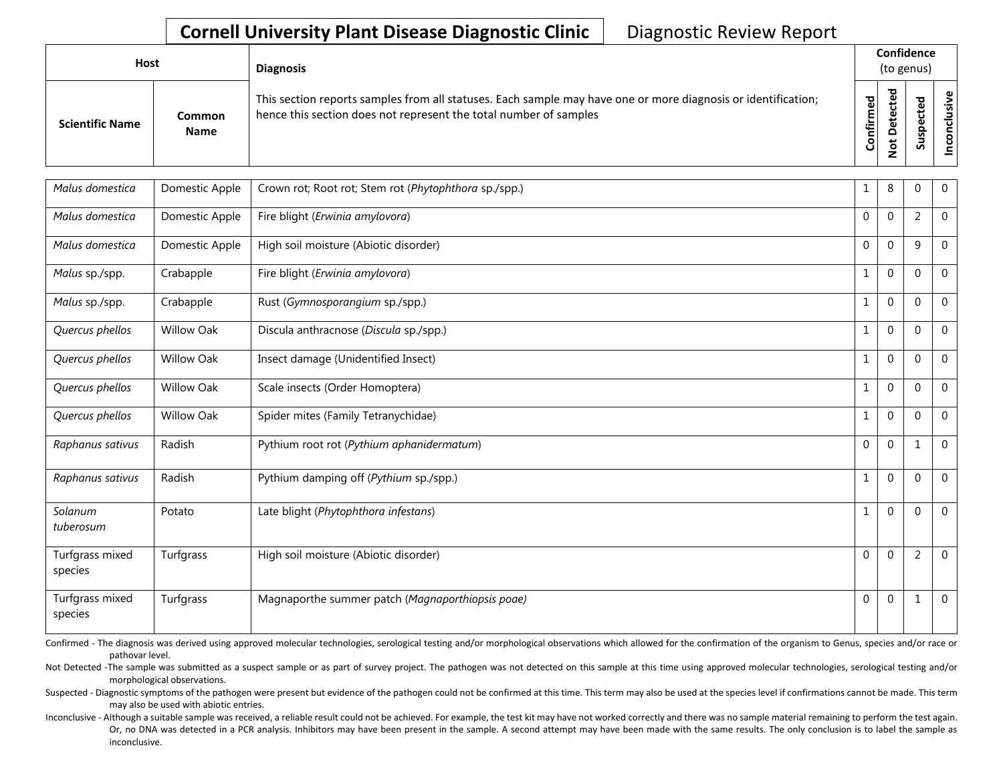## **Cornell University Plant Disease Diagnostic Clinic** | Diagnostic Review Report

| Host                   |                       | <b>Diagnosis</b>                                                                                                                                                                   |           | Confidence<br>(to genus) |  |                 |  |  |
|------------------------|-----------------------|------------------------------------------------------------------------------------------------------------------------------------------------------------------------------------|-----------|--------------------------|--|-----------------|--|--|
| <b>Scientific Name</b> | Common<br><b>Name</b> | This section reports samples from all statuses. Each sample may have one or more diagnosis or identification;<br>hence this section does not represent the total number of samples | Confirmed | ᇃ<br>o<br>سد<br>–<br>-   |  | ω<br>usiv<br>᠊ᠣ |  |  |

| Malus domestica            | Domestic Apple    | Crown rot; Root rot; Stem rot (Phytophthora sp./spp.) | 1            | 8                | $\mathbf{0}$   | $\mathbf 0$    |
|----------------------------|-------------------|-------------------------------------------------------|--------------|------------------|----------------|----------------|
| Malus domestica            | Domestic Apple    | Fire blight (Erwinia amylovora)                       | $\mathbf 0$  | $\mathbf{0}$     | $\overline{2}$ | $\mathbf 0$    |
| Malus domestica            | Domestic Apple    | High soil moisture (Abiotic disorder)                 | $\mathbf 0$  | $\mathbf 0$      | 9              | $\Omega$       |
| Malus sp./spp.             | Crabapple         | Fire blight (Erwinia amylovora)                       | $\mathbf{1}$ | $\boldsymbol{0}$ | $\mathbf{0}$   | $\mathbf 0$    |
| Malus sp./spp.             | Crabapple         | Rust (Gymnosporangium sp./spp.)                       | $\mathbf 1$  | $\mathbf{0}$     | $\mathbf{0}$   | $\mathbf 0$    |
| Quercus phellos            | Willow Oak        | Discula anthracnose (Discula sp./spp.)                | $\mathbf{1}$ | $\mathbf 0$      | $\mathbf{0}$   | $\mathbf 0$    |
| Quercus phellos            | <b>Willow Oak</b> | Insect damage (Unidentified Insect)                   | $\mathbf{1}$ | $\boldsymbol{0}$ | 0              | $\mathbf 0$    |
| Quercus phellos            | Willow Oak        | Scale insects (Order Homoptera)                       | $\mathbf{1}$ | $\mathbf{0}$     | $\mathbf{0}$   | $\mathbf 0$    |
| Quercus phellos            | Willow Oak        | Spider mites (Family Tetranychidae)                   | $\mathbf{1}$ | $\mathbf 0$      | $\mathbf{0}$   | $\mathbf 0$    |
| Raphanus sativus           | Radish            | Pythium root rot (Pythium aphanidermatum)             | $\mathbf 0$  | $\mathbf 0$      | 1              | $\mathbf 0$    |
| Raphanus sativus           | Radish            | Pythium damping off (Pythium sp./spp.)                | $\mathbf{1}$ | $\Omega$         | $\Omega$       | $\mathbf 0$    |
| Solanum<br>tuberosum       | Potato            | Late blight (Phytophthora infestans)                  | $\mathbf{1}$ | $\mathbf 0$      | $\mathbf{0}$   | $\overline{0}$ |
| Turfgrass mixed<br>species | Turfgrass         | High soil moisture (Abiotic disorder)                 | $\mathbf 0$  | $\mathbf 0$      | $\overline{2}$ | $\mathbf 0$    |
| Turfgrass mixed<br>species | Turfgrass         | Magnaporthe summer patch (Magnaporthiopsis poae)      | $\mathbf 0$  | $\mathbf 0$      | 1              | $\mathbf 0$    |

Confirmed - The diagnosis was derived using approved molecular technologies, serological testing and/or morphological observations which allowed for the confirmation of the organism to Genus, species and/or race or pathovar level.

Not Detected -The sample was submitted as a suspect sample or as part of survey project. The pathogen was not detected on this sample at this time using approved molecular technologies, serological testing and/or morphological observations.

Suspected - Diagnostic symptoms of the pathogen were present but evidence of the pathogen could not be confirmed at this time. This term may also be used at the species level if confirmations cannot be made. This term may also be used with abiotic entries.

Inconclusive - Although a suitable sample was received, a reliable result could not be achieved. For example, the test kit may have not worked correctly and there was no sample material remaining to perform the test again. Or, no DNA was detected in a PCR analysis. Inhibitors may have been present in the sample. A second attempt may have been made with the same results. The only conclusion is to label the sample as inconclusive.